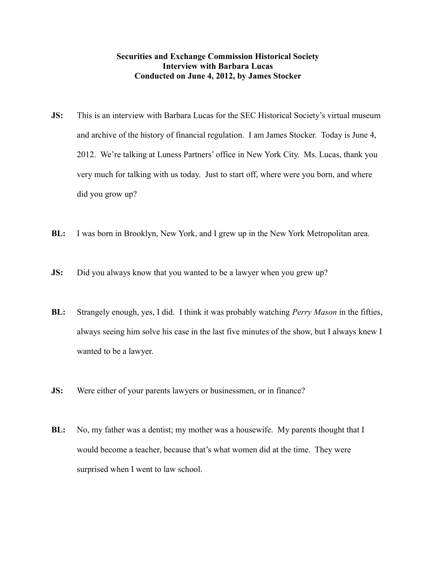## **Securities and Exchange Commission Historical Society Interview with Barbara Lucas Conducted on June 4, 2012, by James Stocker**

- **JS:** This is an interview with Barbara Lucas for the SEC Historical Society's virtual museum and archive of the history of financial regulation. I am James Stocker. Today is June 4, 2012. We're talking at Luness Partners' office in New York City. Ms. Lucas, thank you very much for talking with us today. Just to start off, where were you born, and where did you grow up?
- **BL:** I was born in Brooklyn, New York, and I grew up in the New York Metropolitan area.
- **JS:** Did you always know that you wanted to be a lawyer when you grew up?
- **BL:** Strangely enough, yes, I did. I think it was probably watching *Perry Mason* in the fifties, always seeing him solve his case in the last five minutes of the show, but I always knew I wanted to be a lawyer.
- **JS:** Were either of your parents lawyers or businessmen, or in finance?
- **BL:** No, my father was a dentist; my mother was a housewife. My parents thought that I would become a teacher, because that's what women did at the time. They were surprised when I went to law school.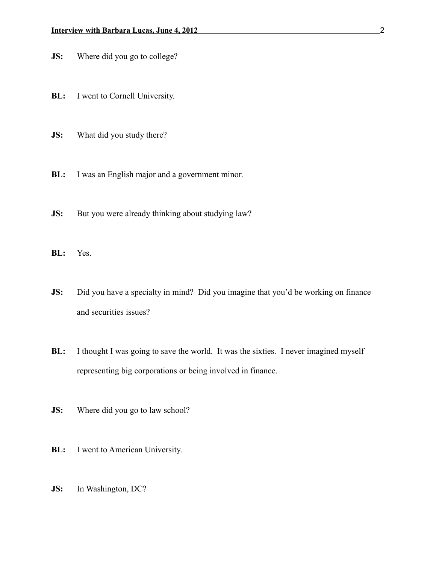- **JS:** Where did you go to college?
- **BL:** I went to Cornell University.
- **JS:** What did you study there?
- **BL:** I was an English major and a government minor.
- **JS:** But you were already thinking about studying law?
- **BL:** Yes.
- **JS:** Did you have a specialty in mind? Did you imagine that you'd be working on finance and securities issues?
- **BL:** I thought I was going to save the world. It was the sixties. I never imagined myself representing big corporations or being involved in finance.
- **JS:** Where did you go to law school?
- **BL:** I went to American University.
- **JS:** In Washington, DC?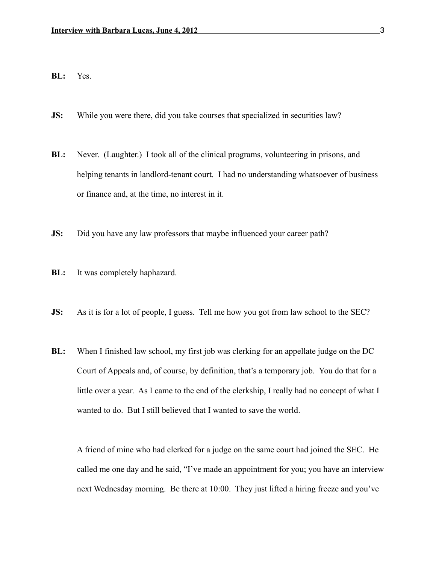## **BL:** Yes.

- **JS:** While you were there, did you take courses that specialized in securities law?
- **BL:** Never. (Laughter.) I took all of the clinical programs, volunteering in prisons, and helping tenants in landlord-tenant court. I had no understanding whatsoever of business or finance and, at the time, no interest in it.
- **JS:** Did you have any law professors that maybe influenced your career path?
- **BL:** It was completely haphazard.
- **JS:** As it is for a lot of people, I guess. Tell me how you got from law school to the SEC?
- **BL:** When I finished law school, my first job was clerking for an appellate judge on the DC Court of Appeals and, of course, by definition, that's a temporary job. You do that for a little over a year. As I came to the end of the clerkship, I really had no concept of what I wanted to do. But I still believed that I wanted to save the world.

A friend of mine who had clerked for a judge on the same court had joined the SEC. He called me one day and he said, "I've made an appointment for you; you have an interview next Wednesday morning. Be there at 10:00. They just lifted a hiring freeze and you've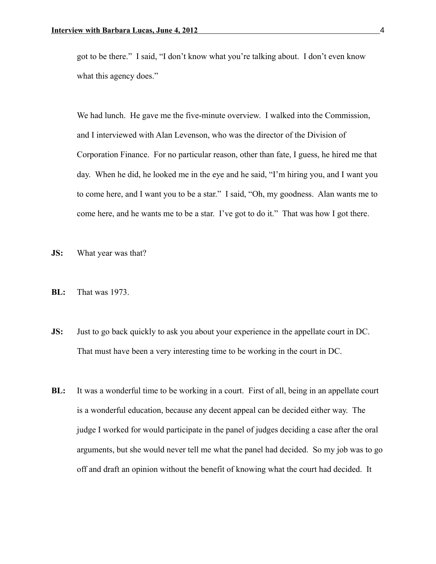got to be there." I said, "I don't know what you're talking about. I don't even know what this agency does."

We had lunch. He gave me the five-minute overview. I walked into the Commission, and I interviewed with Alan Levenson, who was the director of the Division of Corporation Finance. For no particular reason, other than fate, I guess, he hired me that day. When he did, he looked me in the eye and he said, "I'm hiring you, and I want you to come here, and I want you to be a star." I said, "Oh, my goodness. Alan wants me to come here, and he wants me to be a star. I've got to do it." That was how I got there.

- **JS:** What year was that?
- **BL:** That was 1973.
- **JS:** Just to go back quickly to ask you about your experience in the appellate court in DC. That must have been a very interesting time to be working in the court in DC.
- **BL:** It was a wonderful time to be working in a court. First of all, being in an appellate court is a wonderful education, because any decent appeal can be decided either way. The judge I worked for would participate in the panel of judges deciding a case after the oral arguments, but she would never tell me what the panel had decided. So my job was to go off and draft an opinion without the benefit of knowing what the court had decided. It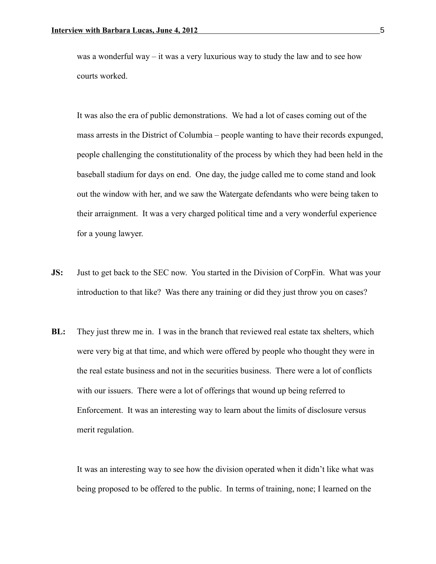was a wonderful way – it was a very luxurious way to study the law and to see how courts worked.

It was also the era of public demonstrations. We had a lot of cases coming out of the mass arrests in the District of Columbia – people wanting to have their records expunged, people challenging the constitutionality of the process by which they had been held in the baseball stadium for days on end. One day, the judge called me to come stand and look out the window with her, and we saw the Watergate defendants who were being taken to their arraignment. It was a very charged political time and a very wonderful experience for a young lawyer.

- **JS:** Just to get back to the SEC now. You started in the Division of CorpFin. What was your introduction to that like? Was there any training or did they just throw you on cases?
- **BL:** They just threw me in. I was in the branch that reviewed real estate tax shelters, which were very big at that time, and which were offered by people who thought they were in the real estate business and not in the securities business. There were a lot of conflicts with our issuers. There were a lot of offerings that wound up being referred to Enforcement. It was an interesting way to learn about the limits of disclosure versus merit regulation.

It was an interesting way to see how the division operated when it didn't like what was being proposed to be offered to the public. In terms of training, none; I learned on the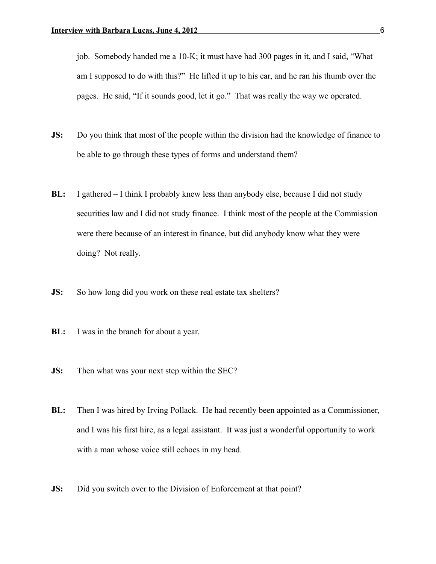job. Somebody handed me a 10-K; it must have had 300 pages in it, and I said, "What am I supposed to do with this?" He lifted it up to his ear, and he ran his thumb over the pages. He said, "If it sounds good, let it go." That was really the way we operated.

- **JS:** Do you think that most of the people within the division had the knowledge of finance to be able to go through these types of forms and understand them?
- **BL:** I gathered I think I probably knew less than anybody else, because I did not study securities law and I did not study finance. I think most of the people at the Commission were there because of an interest in finance, but did anybody know what they were doing? Not really.
- **JS:** So how long did you work on these real estate tax shelters?
- **BL:** I was in the branch for about a year.
- **JS:** Then what was your next step within the SEC?
- **BL:** Then I was hired by Irving Pollack. He had recently been appointed as a Commissioner, and I was his first hire, as a legal assistant. It was just a wonderful opportunity to work with a man whose voice still echoes in my head.
- **JS:** Did you switch over to the Division of Enforcement at that point?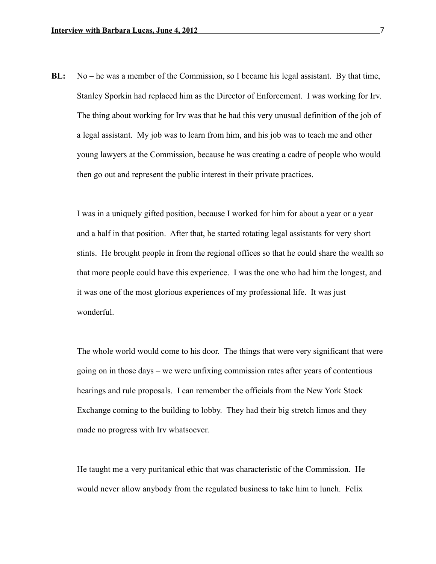**BL:** No – he was a member of the Commission, so I became his legal assistant. By that time, Stanley Sporkin had replaced him as the Director of Enforcement. I was working for Irv. The thing about working for Irv was that he had this very unusual definition of the job of a legal assistant. My job was to learn from him, and his job was to teach me and other young lawyers at the Commission, because he was creating a cadre of people who would then go out and represent the public interest in their private practices.

I was in a uniquely gifted position, because I worked for him for about a year or a year and a half in that position. After that, he started rotating legal assistants for very short stints. He brought people in from the regional offices so that he could share the wealth so that more people could have this experience. I was the one who had him the longest, and it was one of the most glorious experiences of my professional life. It was just wonderful.

The whole world would come to his door. The things that were very significant that were going on in those days – we were unfixing commission rates after years of contentious hearings and rule proposals. I can remember the officials from the New York Stock Exchange coming to the building to lobby. They had their big stretch limos and they made no progress with Irv whatsoever.

He taught me a very puritanical ethic that was characteristic of the Commission. He would never allow anybody from the regulated business to take him to lunch. Felix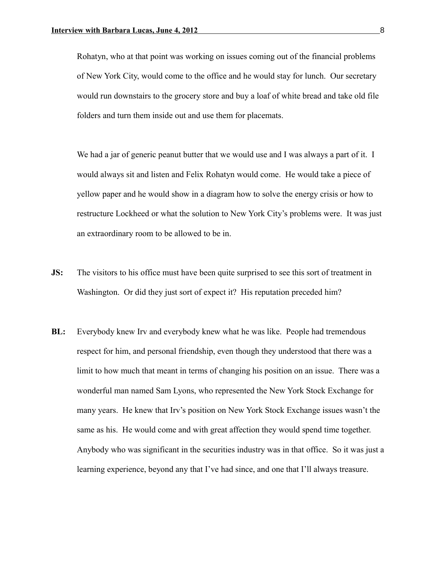Rohatyn, who at that point was working on issues coming out of the financial problems of New York City, would come to the office and he would stay for lunch. Our secretary would run downstairs to the grocery store and buy a loaf of white bread and take old file folders and turn them inside out and use them for placemats.

We had a jar of generic peanut butter that we would use and I was always a part of it. I would always sit and listen and Felix Rohatyn would come. He would take a piece of yellow paper and he would show in a diagram how to solve the energy crisis or how to restructure Lockheed or what the solution to New York City's problems were. It was just an extraordinary room to be allowed to be in.

- **JS:** The visitors to his office must have been quite surprised to see this sort of treatment in Washington. Or did they just sort of expect it? His reputation preceded him?
- **BL:** Everybody knew Irv and everybody knew what he was like. People had tremendous respect for him, and personal friendship, even though they understood that there was a limit to how much that meant in terms of changing his position on an issue. There was a wonderful man named Sam Lyons, who represented the New York Stock Exchange for many years. He knew that Irv's position on New York Stock Exchange issues wasn't the same as his. He would come and with great affection they would spend time together. Anybody who was significant in the securities industry was in that office. So it was just a learning experience, beyond any that I've had since, and one that I'll always treasure.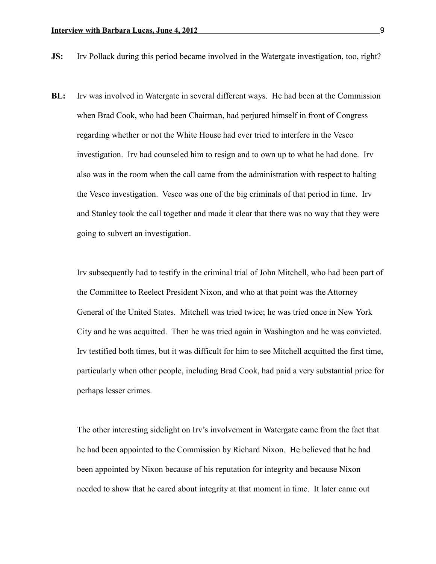- **JS:** Irv Pollack during this period became involved in the Watergate investigation, too, right?
- **BL:** Irv was involved in Watergate in several different ways. He had been at the Commission when Brad Cook, who had been Chairman, had perjured himself in front of Congress regarding whether or not the White House had ever tried to interfere in the Vesco investigation. Irv had counseled him to resign and to own up to what he had done. Irv also was in the room when the call came from the administration with respect to halting the Vesco investigation. Vesco was one of the big criminals of that period in time. Irv and Stanley took the call together and made it clear that there was no way that they were going to subvert an investigation.

Irv subsequently had to testify in the criminal trial of John Mitchell, who had been part of the Committee to Reelect President Nixon, and who at that point was the Attorney General of the United States. Mitchell was tried twice; he was tried once in New York City and he was acquitted. Then he was tried again in Washington and he was convicted. Irv testified both times, but it was difficult for him to see Mitchell acquitted the first time, particularly when other people, including Brad Cook, had paid a very substantial price for perhaps lesser crimes.

The other interesting sidelight on Irv's involvement in Watergate came from the fact that he had been appointed to the Commission by Richard Nixon. He believed that he had been appointed by Nixon because of his reputation for integrity and because Nixon needed to show that he cared about integrity at that moment in time. It later came out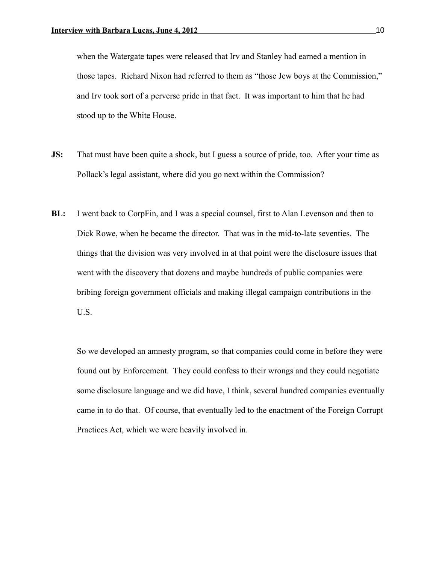when the Watergate tapes were released that Irv and Stanley had earned a mention in those tapes. Richard Nixon had referred to them as "those Jew boys at the Commission," and Irv took sort of a perverse pride in that fact. It was important to him that he had stood up to the White House.

- **JS:** That must have been quite a shock, but I guess a source of pride, too. After your time as Pollack's legal assistant, where did you go next within the Commission?
- **BL:** I went back to CorpFin, and I was a special counsel, first to Alan Levenson and then to Dick Rowe, when he became the director. That was in the mid-to-late seventies. The things that the division was very involved in at that point were the disclosure issues that went with the discovery that dozens and maybe hundreds of public companies were bribing foreign government officials and making illegal campaign contributions in the U.S.

So we developed an amnesty program, so that companies could come in before they were found out by Enforcement. They could confess to their wrongs and they could negotiate some disclosure language and we did have, I think, several hundred companies eventually came in to do that. Of course, that eventually led to the enactment of the Foreign Corrupt Practices Act, which we were heavily involved in.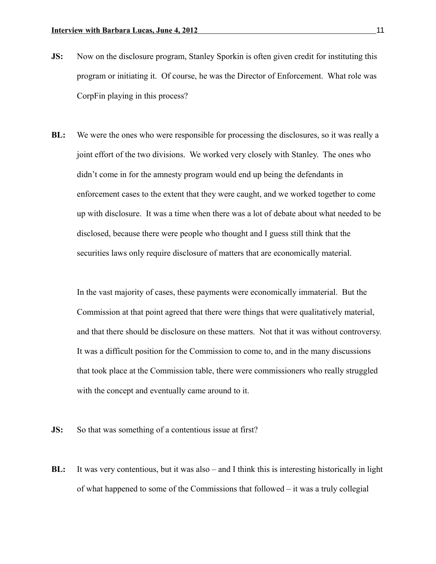- **JS:** Now on the disclosure program, Stanley Sporkin is often given credit for instituting this program or initiating it. Of course, he was the Director of Enforcement. What role was CorpFin playing in this process?
- **BL:** We were the ones who were responsible for processing the disclosures, so it was really a joint effort of the two divisions. We worked very closely with Stanley. The ones who didn't come in for the amnesty program would end up being the defendants in enforcement cases to the extent that they were caught, and we worked together to come up with disclosure. It was a time when there was a lot of debate about what needed to be disclosed, because there were people who thought and I guess still think that the securities laws only require disclosure of matters that are economically material.

In the vast majority of cases, these payments were economically immaterial. But the Commission at that point agreed that there were things that were qualitatively material, and that there should be disclosure on these matters. Not that it was without controversy. It was a difficult position for the Commission to come to, and in the many discussions that took place at the Commission table, there were commissioners who really struggled with the concept and eventually came around to it.

**JS:** So that was something of a contentious issue at first?

**BL:** It was very contentious, but it was also – and I think this is interesting historically in light of what happened to some of the Commissions that followed – it was a truly collegial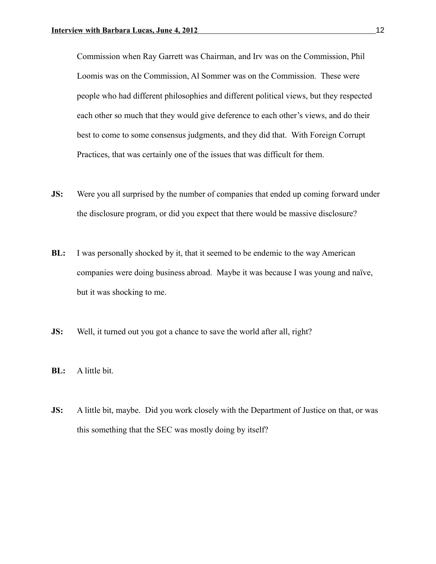Commission when Ray Garrett was Chairman, and Irv was on the Commission, Phil Loomis was on the Commission, Al Sommer was on the Commission. These were people who had different philosophies and different political views, but they respected each other so much that they would give deference to each other's views, and do their best to come to some consensus judgments, and they did that. With Foreign Corrupt Practices, that was certainly one of the issues that was difficult for them.

- **JS:** Were you all surprised by the number of companies that ended up coming forward under the disclosure program, or did you expect that there would be massive disclosure?
- **BL:** I was personally shocked by it, that it seemed to be endemic to the way American companies were doing business abroad. Maybe it was because I was young and naïve, but it was shocking to me.
- **JS:** Well, it turned out you got a chance to save the world after all, right?
- **BL:** A little bit.
- **JS:** A little bit, maybe. Did you work closely with the Department of Justice on that, or was this something that the SEC was mostly doing by itself?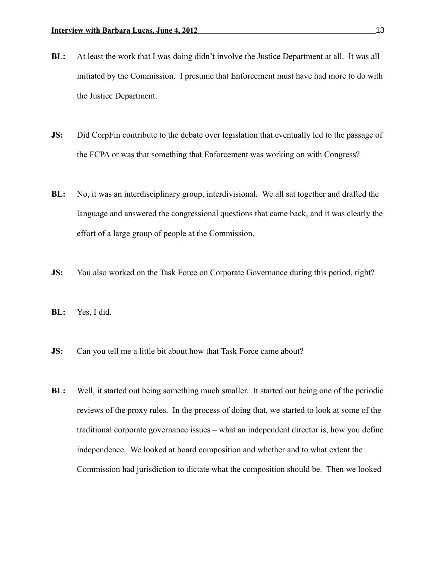- **BL:** At least the work that I was doing didn't involve the Justice Department at all. It was all initiated by the Commission. I presume that Enforcement must have had more to do with the Justice Department.
- **JS:** Did CorpFin contribute to the debate over legislation that eventually led to the passage of the FCPA or was that something that Enforcement was working on with Congress?
- **BL:** No, it was an interdisciplinary group, interdivisional. We all sat together and drafted the language and answered the congressional questions that came back, and it was clearly the effort of a large group of people at the Commission.
- **JS:** You also worked on the Task Force on Corporate Governance during this period, right?
- **BL:** Yes, I did.
- **JS:** Can you tell me a little bit about how that Task Force came about?
- **BL:** Well, it started out being something much smaller. It started out being one of the periodic reviews of the proxy rules. In the process of doing that, we started to look at some of the traditional corporate governance issues – what an independent director is, how you define independence. We looked at board composition and whether and to what extent the Commission had jurisdiction to dictate what the composition should be. Then we looked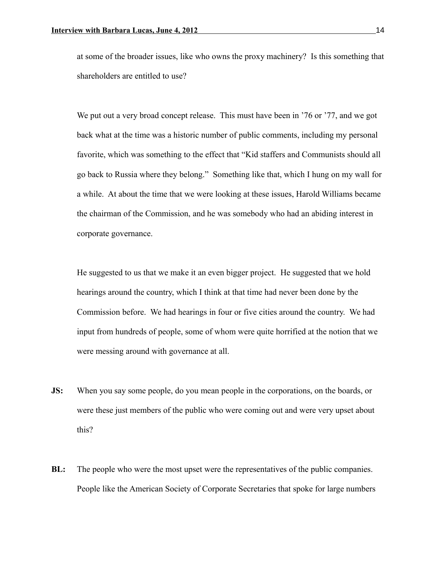at some of the broader issues, like who owns the proxy machinery? Is this something that shareholders are entitled to use?

We put out a very broad concept release. This must have been in '76 or '77, and we got back what at the time was a historic number of public comments, including my personal favorite, which was something to the effect that "Kid staffers and Communists should all go back to Russia where they belong." Something like that, which I hung on my wall for a while. At about the time that we were looking at these issues, Harold Williams became the chairman of the Commission, and he was somebody who had an abiding interest in corporate governance.

He suggested to us that we make it an even bigger project. He suggested that we hold hearings around the country, which I think at that time had never been done by the Commission before. We had hearings in four or five cities around the country. We had input from hundreds of people, some of whom were quite horrified at the notion that we were messing around with governance at all.

- **JS:** When you say some people, do you mean people in the corporations, on the boards, or were these just members of the public who were coming out and were very upset about this?
- **BL:** The people who were the most upset were the representatives of the public companies. People like the American Society of Corporate Secretaries that spoke for large numbers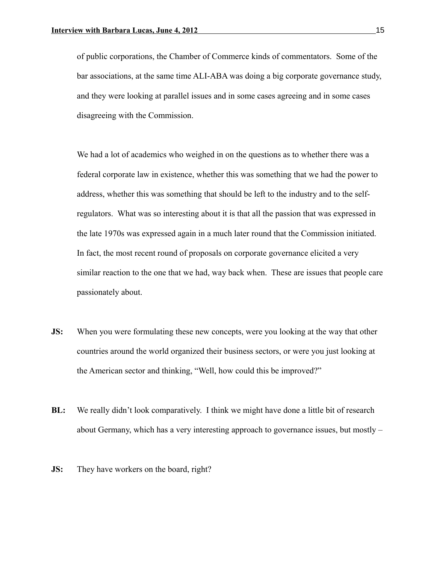of public corporations, the Chamber of Commerce kinds of commentators. Some of the bar associations, at the same time ALI-ABA was doing a big corporate governance study, and they were looking at parallel issues and in some cases agreeing and in some cases disagreeing with the Commission.

We had a lot of academics who weighed in on the questions as to whether there was a federal corporate law in existence, whether this was something that we had the power to address, whether this was something that should be left to the industry and to the selfregulators. What was so interesting about it is that all the passion that was expressed in the late 1970s was expressed again in a much later round that the Commission initiated. In fact, the most recent round of proposals on corporate governance elicited a very similar reaction to the one that we had, way back when. These are issues that people care passionately about.

- **JS:** When you were formulating these new concepts, were you looking at the way that other countries around the world organized their business sectors, or were you just looking at the American sector and thinking, "Well, how could this be improved?"
- **BL:** We really didn't look comparatively. I think we might have done a little bit of research about Germany, which has a very interesting approach to governance issues, but mostly –
- **JS:** They have workers on the board, right?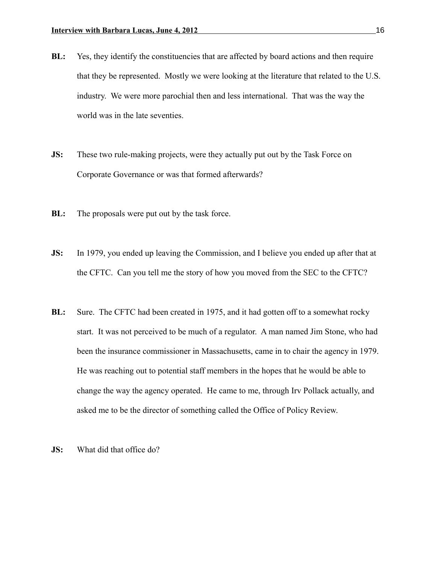- **BL:** Yes, they identify the constituencies that are affected by board actions and then require that they be represented. Mostly we were looking at the literature that related to the U.S. industry. We were more parochial then and less international. That was the way the world was in the late seventies.
- **JS:** These two rule-making projects, were they actually put out by the Task Force on Corporate Governance or was that formed afterwards?
- **BL:** The proposals were put out by the task force.
- **JS:** In 1979, you ended up leaving the Commission, and I believe you ended up after that at the CFTC. Can you tell me the story of how you moved from the SEC to the CFTC?
- **BL:** Sure. The CFTC had been created in 1975, and it had gotten off to a somewhat rocky start. It was not perceived to be much of a regulator. A man named Jim Stone, who had been the insurance commissioner in Massachusetts, came in to chair the agency in 1979. He was reaching out to potential staff members in the hopes that he would be able to change the way the agency operated. He came to me, through Irv Pollack actually, and asked me to be the director of something called the Office of Policy Review.
- **JS:** What did that office do?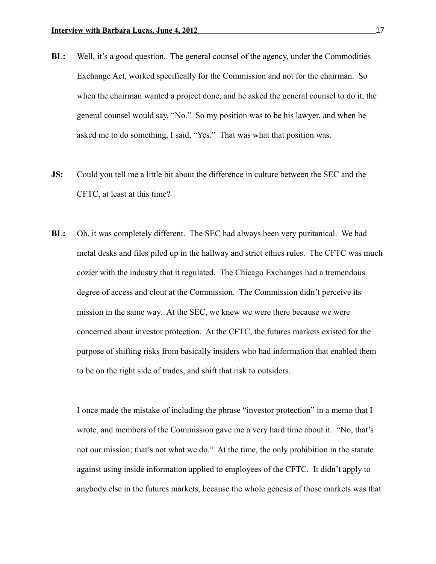- **BL:** Well, it's a good question. The general counsel of the agency, under the Commodities Exchange Act, worked specifically for the Commission and not for the chairman. So when the chairman wanted a project done, and he asked the general counsel to do it, the general counsel would say, "No." So my position was to be his lawyer, and when he asked me to do something, I said, "Yes." That was what that position was.
- **JS:** Could you tell me a little bit about the difference in culture between the SEC and the CFTC, at least at this time?
- **BL:** Oh, it was completely different. The SEC had always been very puritanical. We had metal desks and files piled up in the hallway and strict ethics rules. The CFTC was much cozier with the industry that it regulated. The Chicago Exchanges had a tremendous degree of access and clout at the Commission. The Commission didn't perceive its mission in the same way. At the SEC, we knew we were there because we were concerned about investor protection. At the CFTC, the futures markets existed for the purpose of shifting risks from basically insiders who had information that enabled them to be on the right side of trades, and shift that risk to outsiders.

I once made the mistake of including the phrase "investor protection" in a memo that I wrote, and members of the Commission gave me a very hard time about it. "No, that's not our mission; that's not what we do." At the time, the only prohibition in the statute against using inside information applied to employees of the CFTC. It didn't apply to anybody else in the futures markets, because the whole genesis of those markets was that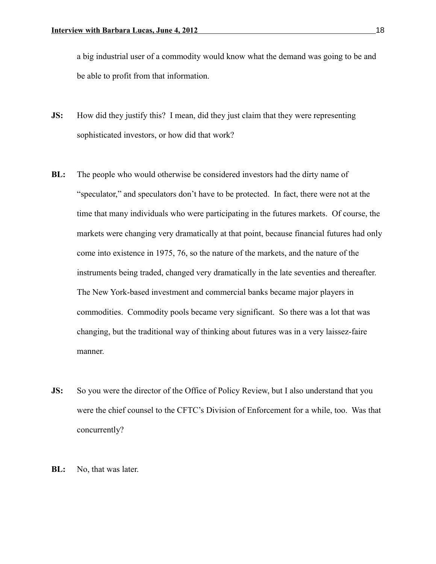a big industrial user of a commodity would know what the demand was going to be and be able to profit from that information.

- **JS:** How did they justify this? I mean, did they just claim that they were representing sophisticated investors, or how did that work?
- **BL:** The people who would otherwise be considered investors had the dirty name of "speculator," and speculators don't have to be protected. In fact, there were not at the time that many individuals who were participating in the futures markets. Of course, the markets were changing very dramatically at that point, because financial futures had only come into existence in 1975, 76, so the nature of the markets, and the nature of the instruments being traded, changed very dramatically in the late seventies and thereafter. The New York-based investment and commercial banks became major players in commodities. Commodity pools became very significant. So there was a lot that was changing, but the traditional way of thinking about futures was in a very laissez-faire manner.
- **JS:** So you were the director of the Office of Policy Review, but I also understand that you were the chief counsel to the CFTC's Division of Enforcement for a while, too. Was that concurrently?
- **BL:** No, that was later.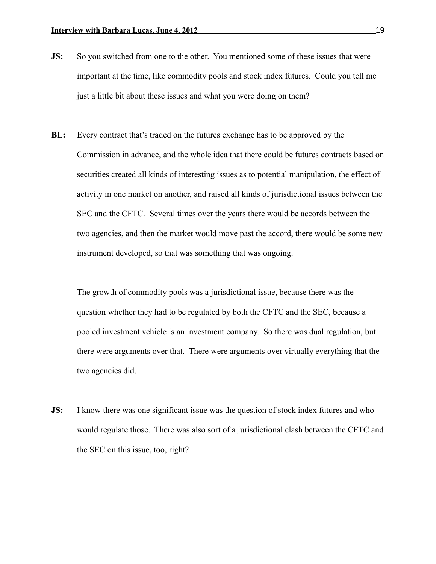- **JS:** So you switched from one to the other. You mentioned some of these issues that were important at the time, like commodity pools and stock index futures. Could you tell me just a little bit about these issues and what you were doing on them?
- **BL:** Every contract that's traded on the futures exchange has to be approved by the Commission in advance, and the whole idea that there could be futures contracts based on securities created all kinds of interesting issues as to potential manipulation, the effect of activity in one market on another, and raised all kinds of jurisdictional issues between the SEC and the CFTC. Several times over the years there would be accords between the two agencies, and then the market would move past the accord, there would be some new instrument developed, so that was something that was ongoing.

The growth of commodity pools was a jurisdictional issue, because there was the question whether they had to be regulated by both the CFTC and the SEC, because a pooled investment vehicle is an investment company. So there was dual regulation, but there were arguments over that. There were arguments over virtually everything that the two agencies did.

**JS:** I know there was one significant issue was the question of stock index futures and who would regulate those. There was also sort of a jurisdictional clash between the CFTC and the SEC on this issue, too, right?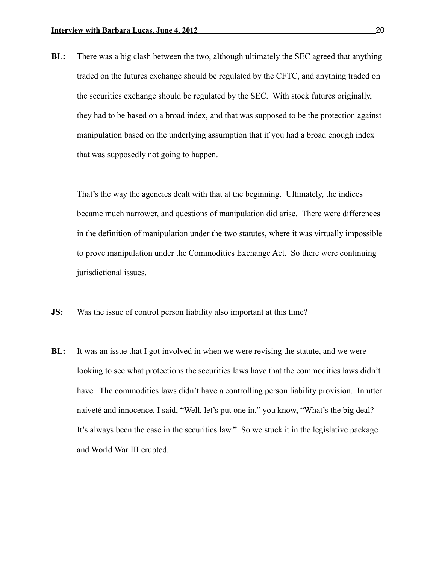**BL:** There was a big clash between the two, although ultimately the SEC agreed that anything traded on the futures exchange should be regulated by the CFTC, and anything traded on the securities exchange should be regulated by the SEC. With stock futures originally, they had to be based on a broad index, and that was supposed to be the protection against manipulation based on the underlying assumption that if you had a broad enough index that was supposedly not going to happen.

That's the way the agencies dealt with that at the beginning. Ultimately, the indices became much narrower, and questions of manipulation did arise. There were differences in the definition of manipulation under the two statutes, where it was virtually impossible to prove manipulation under the Commodities Exchange Act. So there were continuing jurisdictional issues.

- **JS:** Was the issue of control person liability also important at this time?
- **BL:** It was an issue that I got involved in when we were revising the statute, and we were looking to see what protections the securities laws have that the commodities laws didn't have. The commodities laws didn't have a controlling person liability provision. In utter naiveté and innocence, I said, "Well, let's put one in," you know, "What's the big deal? It's always been the case in the securities law." So we stuck it in the legislative package and World War III erupted.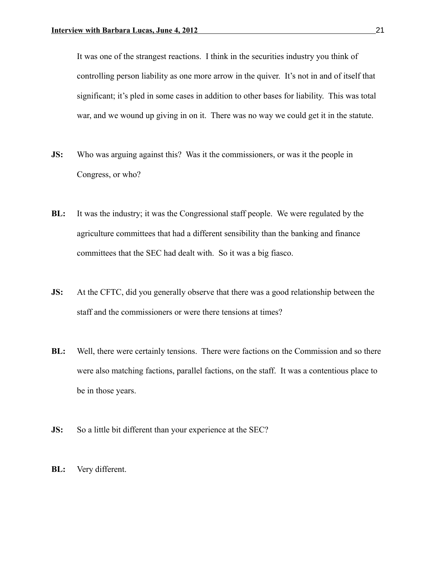It was one of the strangest reactions. I think in the securities industry you think of controlling person liability as one more arrow in the quiver. It's not in and of itself that significant; it's pled in some cases in addition to other bases for liability. This was total war, and we wound up giving in on it. There was no way we could get it in the statute.

- **JS:** Who was arguing against this? Was it the commissioners, or was it the people in Congress, or who?
- **BL:** It was the industry; it was the Congressional staff people. We were regulated by the agriculture committees that had a different sensibility than the banking and finance committees that the SEC had dealt with. So it was a big fiasco.
- **JS:** At the CFTC, did you generally observe that there was a good relationship between the staff and the commissioners or were there tensions at times?
- **BL:** Well, there were certainly tensions. There were factions on the Commission and so there were also matching factions, parallel factions, on the staff. It was a contentious place to be in those years.
- **JS:** So a little bit different than your experience at the SEC?
- **BL:** Very different.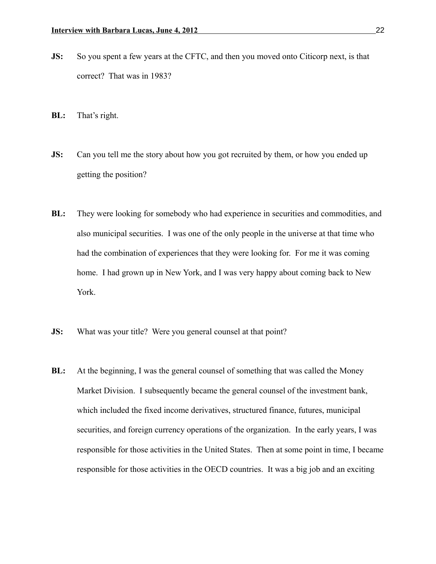- **JS:** So you spent a few years at the CFTC, and then you moved onto Citicorp next, is that correct? That was in 1983?
- **BL:** That's right.
- **JS:** Can you tell me the story about how you got recruited by them, or how you ended up getting the position?
- **BL:** They were looking for somebody who had experience in securities and commodities, and also municipal securities. I was one of the only people in the universe at that time who had the combination of experiences that they were looking for. For me it was coming home. I had grown up in New York, and I was very happy about coming back to New York.
- **JS:** What was your title? Were you general counsel at that point?
- **BL:** At the beginning, I was the general counsel of something that was called the Money Market Division. I subsequently became the general counsel of the investment bank, which included the fixed income derivatives, structured finance, futures, municipal securities, and foreign currency operations of the organization. In the early years, I was responsible for those activities in the United States. Then at some point in time, I became responsible for those activities in the OECD countries. It was a big job and an exciting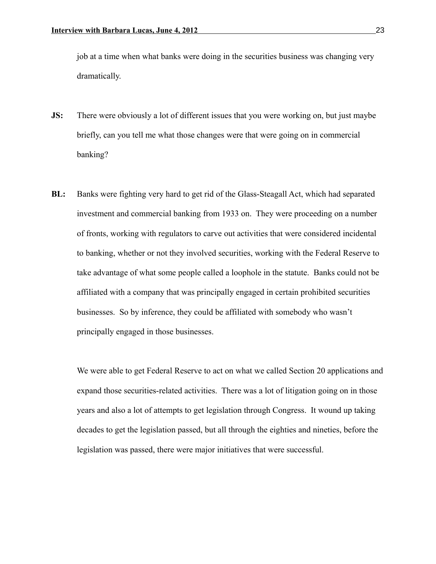job at a time when what banks were doing in the securities business was changing very dramatically.

- **JS:** There were obviously a lot of different issues that you were working on, but just maybe briefly, can you tell me what those changes were that were going on in commercial banking?
- **BL:** Banks were fighting very hard to get rid of the Glass-Steagall Act, which had separated investment and commercial banking from 1933 on. They were proceeding on a number of fronts, working with regulators to carve out activities that were considered incidental to banking, whether or not they involved securities, working with the Federal Reserve to take advantage of what some people called a loophole in the statute. Banks could not be affiliated with a company that was principally engaged in certain prohibited securities businesses. So by inference, they could be affiliated with somebody who wasn't principally engaged in those businesses.

We were able to get Federal Reserve to act on what we called Section 20 applications and expand those securities-related activities. There was a lot of litigation going on in those years and also a lot of attempts to get legislation through Congress. It wound up taking decades to get the legislation passed, but all through the eighties and nineties, before the legislation was passed, there were major initiatives that were successful.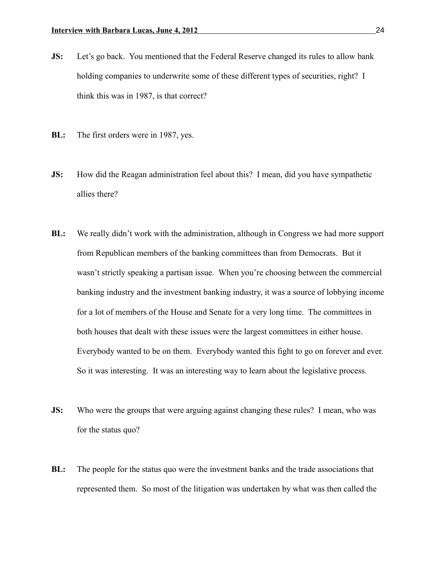- **JS:** Let's go back. You mentioned that the Federal Reserve changed its rules to allow bank holding companies to underwrite some of these different types of securities, right? I think this was in 1987, is that correct?
- **BL:** The first orders were in 1987, yes.
- **JS:** How did the Reagan administration feel about this? I mean, did you have sympathetic allies there?
- **BL:** We really didn't work with the administration, although in Congress we had more support from Republican members of the banking committees than from Democrats. But it wasn't strictly speaking a partisan issue. When you're choosing between the commercial banking industry and the investment banking industry, it was a source of lobbying income for a lot of members of the House and Senate for a very long time. The committees in both houses that dealt with these issues were the largest committees in either house. Everybody wanted to be on them. Everybody wanted this fight to go on forever and ever. So it was interesting. It was an interesting way to learn about the legislative process.
- **JS:** Who were the groups that were arguing against changing these rules? I mean, who was for the status quo?
- **BL:** The people for the status quo were the investment banks and the trade associations that represented them. So most of the litigation was undertaken by what was then called the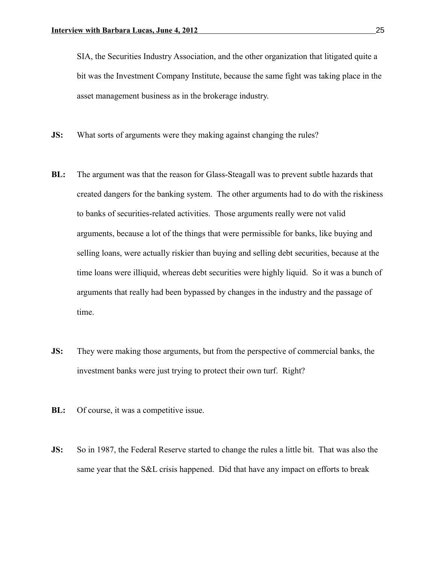SIA, the Securities Industry Association, and the other organization that litigated quite a bit was the Investment Company Institute, because the same fight was taking place in the asset management business as in the brokerage industry.

- **JS:** What sorts of arguments were they making against changing the rules?
- **BL:** The argument was that the reason for Glass-Steagall was to prevent subtle hazards that created dangers for the banking system. The other arguments had to do with the riskiness to banks of securities-related activities. Those arguments really were not valid arguments, because a lot of the things that were permissible for banks, like buying and selling loans, were actually riskier than buying and selling debt securities, because at the time loans were illiquid, whereas debt securities were highly liquid. So it was a bunch of arguments that really had been bypassed by changes in the industry and the passage of time.
- **JS:** They were making those arguments, but from the perspective of commercial banks, the investment banks were just trying to protect their own turf. Right?
- **BL:** Of course, it was a competitive issue.
- **JS:** So in 1987, the Federal Reserve started to change the rules a little bit. That was also the same year that the S&L crisis happened. Did that have any impact on efforts to break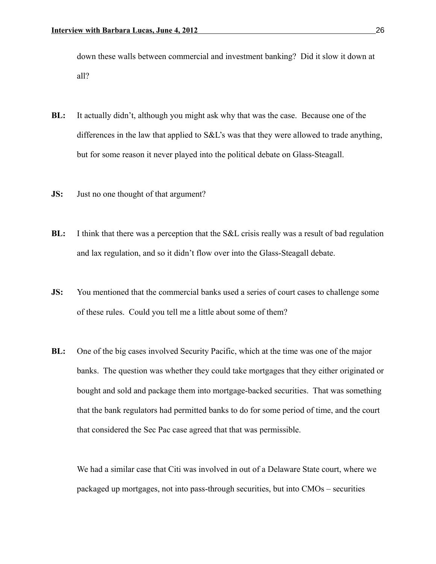down these walls between commercial and investment banking? Did it slow it down at all?

- **BL:** It actually didn't, although you might ask why that was the case. Because one of the differences in the law that applied to S&L's was that they were allowed to trade anything, but for some reason it never played into the political debate on Glass-Steagall.
- **JS:** Just no one thought of that argument?
- **BL:** I think that there was a perception that the S&L crisis really was a result of bad regulation and lax regulation, and so it didn't flow over into the Glass-Steagall debate.
- **JS:** You mentioned that the commercial banks used a series of court cases to challenge some of these rules. Could you tell me a little about some of them?
- **BL:** One of the big cases involved Security Pacific, which at the time was one of the major banks. The question was whether they could take mortgages that they either originated or bought and sold and package them into mortgage-backed securities. That was something that the bank regulators had permitted banks to do for some period of time, and the court that considered the Sec Pac case agreed that that was permissible.

We had a similar case that Citi was involved in out of a Delaware State court, where we packaged up mortgages, not into pass-through securities, but into CMOs – securities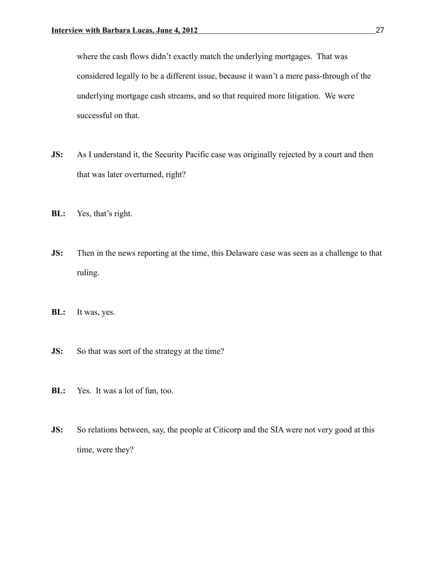where the cash flows didn't exactly match the underlying mortgages. That was considered legally to be a different issue, because it wasn't a mere pass-through of the underlying mortgage cash streams, and so that required more litigation. We were successful on that.

- **JS:** As I understand it, the Security Pacific case was originally rejected by a court and then that was later overturned, right?
- **BL:** Yes, that's right.
- **JS:** Then in the news reporting at the time, this Delaware case was seen as a challenge to that ruling.
- **BL:** It was, yes.
- **JS:** So that was sort of the strategy at the time?
- **BL:** Yes. It was a lot of fun, too.
- **JS:** So relations between, say, the people at Citicorp and the SIA were not very good at this time, were they?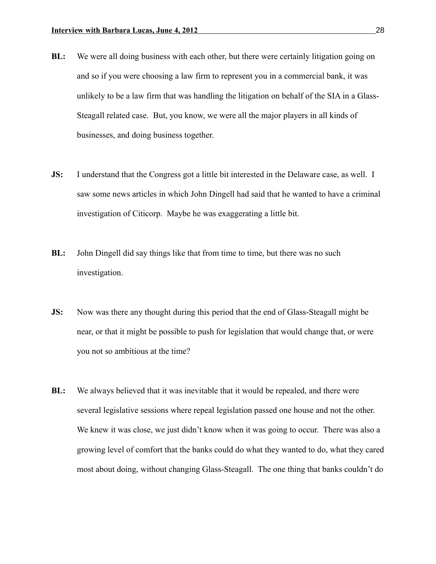- **BL:** We were all doing business with each other, but there were certainly litigation going on and so if you were choosing a law firm to represent you in a commercial bank, it was unlikely to be a law firm that was handling the litigation on behalf of the SIA in a Glass-Steagall related case. But, you know, we were all the major players in all kinds of businesses, and doing business together.
- **JS:** I understand that the Congress got a little bit interested in the Delaware case, as well. I saw some news articles in which John Dingell had said that he wanted to have a criminal investigation of Citicorp. Maybe he was exaggerating a little bit.
- **BL:** John Dingell did say things like that from time to time, but there was no such investigation.
- **JS:** Now was there any thought during this period that the end of Glass-Steagall might be near, or that it might be possible to push for legislation that would change that, or were you not so ambitious at the time?
- **BL:** We always believed that it was inevitable that it would be repealed, and there were several legislative sessions where repeal legislation passed one house and not the other. We knew it was close, we just didn't know when it was going to occur. There was also a growing level of comfort that the banks could do what they wanted to do, what they cared most about doing, without changing Glass-Steagall. The one thing that banks couldn't do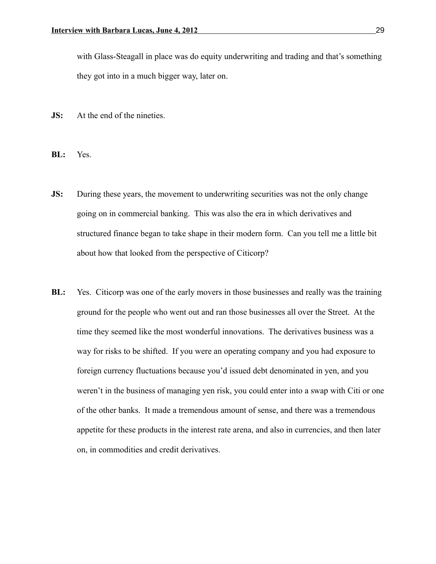with Glass-Steagall in place was do equity underwriting and trading and that's something they got into in a much bigger way, later on.

- **JS:** At the end of the nineties.
- **BL:** Yes.
- **JS:** During these years, the movement to underwriting securities was not the only change going on in commercial banking. This was also the era in which derivatives and structured finance began to take shape in their modern form. Can you tell me a little bit about how that looked from the perspective of Citicorp?
- **BL:** Yes. Citicorp was one of the early movers in those businesses and really was the training ground for the people who went out and ran those businesses all over the Street. At the time they seemed like the most wonderful innovations. The derivatives business was a way for risks to be shifted. If you were an operating company and you had exposure to foreign currency fluctuations because you'd issued debt denominated in yen, and you weren't in the business of managing yen risk, you could enter into a swap with Citi or one of the other banks. It made a tremendous amount of sense, and there was a tremendous appetite for these products in the interest rate arena, and also in currencies, and then later on, in commodities and credit derivatives.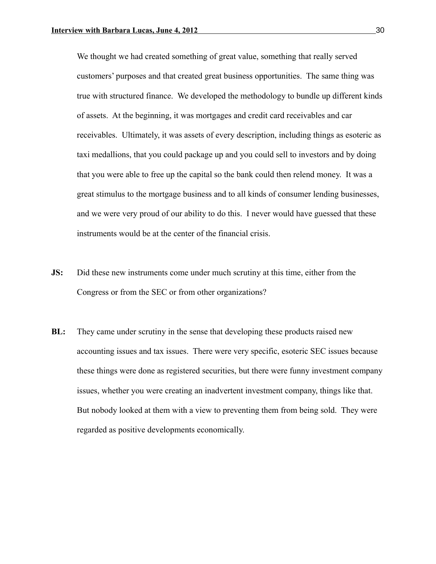We thought we had created something of great value, something that really served customers' purposes and that created great business opportunities. The same thing was true with structured finance. We developed the methodology to bundle up different kinds of assets. At the beginning, it was mortgages and credit card receivables and car receivables. Ultimately, it was assets of every description, including things as esoteric as taxi medallions, that you could package up and you could sell to investors and by doing that you were able to free up the capital so the bank could then relend money. It was a great stimulus to the mortgage business and to all kinds of consumer lending businesses, and we were very proud of our ability to do this. I never would have guessed that these instruments would be at the center of the financial crisis.

- **JS:** Did these new instruments come under much scrutiny at this time, either from the Congress or from the SEC or from other organizations?
- **BL:** They came under scrutiny in the sense that developing these products raised new accounting issues and tax issues. There were very specific, esoteric SEC issues because these things were done as registered securities, but there were funny investment company issues, whether you were creating an inadvertent investment company, things like that. But nobody looked at them with a view to preventing them from being sold. They were regarded as positive developments economically.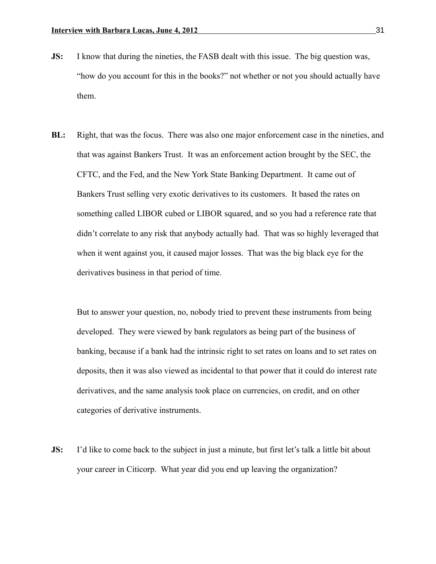- **JS:** I know that during the nineties, the FASB dealt with this issue. The big question was, "how do you account for this in the books?" not whether or not you should actually have them.
- **BL:** Right, that was the focus. There was also one major enforcement case in the nineties, and that was against Bankers Trust. It was an enforcement action brought by the SEC, the CFTC, and the Fed, and the New York State Banking Department. It came out of Bankers Trust selling very exotic derivatives to its customers. It based the rates on something called LIBOR cubed or LIBOR squared, and so you had a reference rate that didn't correlate to any risk that anybody actually had. That was so highly leveraged that when it went against you, it caused major losses. That was the big black eye for the derivatives business in that period of time.

But to answer your question, no, nobody tried to prevent these instruments from being developed. They were viewed by bank regulators as being part of the business of banking, because if a bank had the intrinsic right to set rates on loans and to set rates on deposits, then it was also viewed as incidental to that power that it could do interest rate derivatives, and the same analysis took place on currencies, on credit, and on other categories of derivative instruments.

**JS:** I'd like to come back to the subject in just a minute, but first let's talk a little bit about your career in Citicorp. What year did you end up leaving the organization?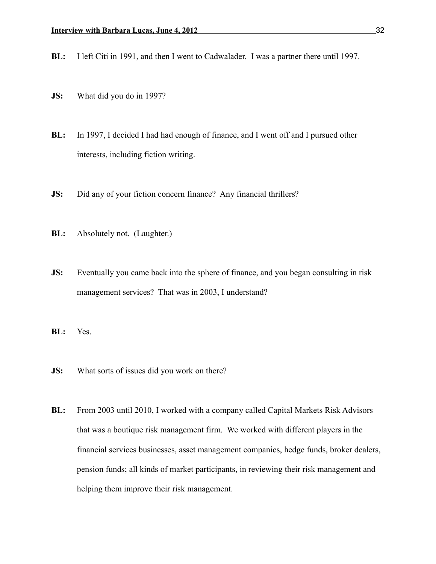**BL:** I left Citi in 1991, and then I went to Cadwalader. I was a partner there until 1997.

- **JS:** What did you do in 1997?
- **BL:** In 1997, I decided I had had enough of finance, and I went off and I pursued other interests, including fiction writing.
- **JS:** Did any of your fiction concern finance? Any financial thrillers?
- **BL:** Absolutely not. (Laughter.)
- **JS:** Eventually you came back into the sphere of finance, and you began consulting in risk management services? That was in 2003, I understand?
- **BL:** Yes.
- **JS:** What sorts of issues did you work on there?
- **BL:** From 2003 until 2010, I worked with a company called Capital Markets Risk Advisors that was a boutique risk management firm. We worked with different players in the financial services businesses, asset management companies, hedge funds, broker dealers, pension funds; all kinds of market participants, in reviewing their risk management and helping them improve their risk management.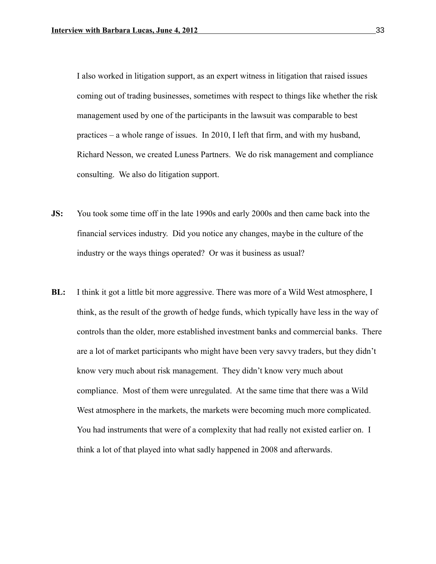I also worked in litigation support, as an expert witness in litigation that raised issues coming out of trading businesses, sometimes with respect to things like whether the risk management used by one of the participants in the lawsuit was comparable to best practices – a whole range of issues. In 2010, I left that firm, and with my husband, Richard Nesson, we created Luness Partners. We do risk management and compliance consulting. We also do litigation support.

- **JS:** You took some time off in the late 1990s and early 2000s and then came back into the financial services industry. Did you notice any changes, maybe in the culture of the industry or the ways things operated? Or was it business as usual?
- **BL:** I think it got a little bit more aggressive. There was more of a Wild West atmosphere, I think, as the result of the growth of hedge funds, which typically have less in the way of controls than the older, more established investment banks and commercial banks. There are a lot of market participants who might have been very savvy traders, but they didn't know very much about risk management. They didn't know very much about compliance. Most of them were unregulated. At the same time that there was a Wild West atmosphere in the markets, the markets were becoming much more complicated. You had instruments that were of a complexity that had really not existed earlier on. I think a lot of that played into what sadly happened in 2008 and afterwards.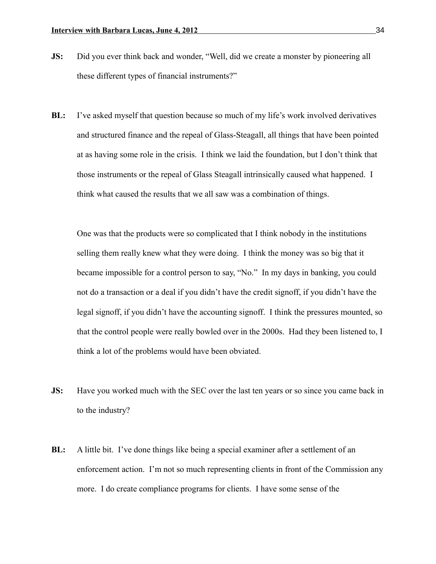- **JS:** Did you ever think back and wonder, "Well, did we create a monster by pioneering all these different types of financial instruments?"
- **BL:** I've asked myself that question because so much of my life's work involved derivatives and structured finance and the repeal of Glass-Steagall, all things that have been pointed at as having some role in the crisis. I think we laid the foundation, but I don't think that those instruments or the repeal of Glass Steagall intrinsically caused what happened. I think what caused the results that we all saw was a combination of things.

One was that the products were so complicated that I think nobody in the institutions selling them really knew what they were doing. I think the money was so big that it became impossible for a control person to say, "No." In my days in banking, you could not do a transaction or a deal if you didn't have the credit signoff, if you didn't have the legal signoff, if you didn't have the accounting signoff. I think the pressures mounted, so that the control people were really bowled over in the 2000s. Had they been listened to, I think a lot of the problems would have been obviated.

- **JS:** Have you worked much with the SEC over the last ten years or so since you came back in to the industry?
- **BL:** A little bit. I've done things like being a special examiner after a settlement of an enforcement action. I'm not so much representing clients in front of the Commission any more. I do create compliance programs for clients. I have some sense of the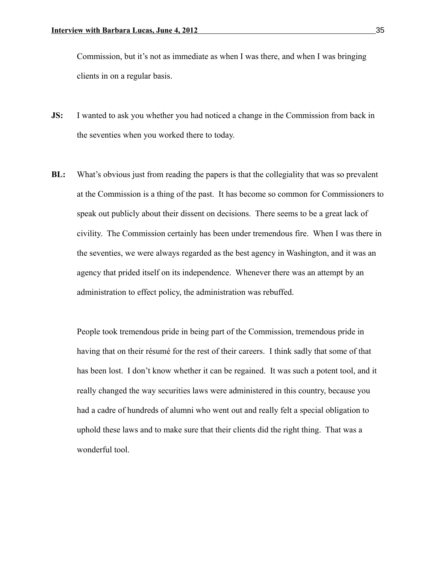Commission, but it's not as immediate as when I was there, and when I was bringing clients in on a regular basis.

- **JS:** I wanted to ask you whether you had noticed a change in the Commission from back in the seventies when you worked there to today.
- **BL:** What's obvious just from reading the papers is that the collegiality that was so prevalent at the Commission is a thing of the past. It has become so common for Commissioners to speak out publicly about their dissent on decisions. There seems to be a great lack of civility. The Commission certainly has been under tremendous fire. When I was there in the seventies, we were always regarded as the best agency in Washington, and it was an agency that prided itself on its independence. Whenever there was an attempt by an administration to effect policy, the administration was rebuffed.

People took tremendous pride in being part of the Commission, tremendous pride in having that on their résumé for the rest of their careers. I think sadly that some of that has been lost. I don't know whether it can be regained. It was such a potent tool, and it really changed the way securities laws were administered in this country, because you had a cadre of hundreds of alumni who went out and really felt a special obligation to uphold these laws and to make sure that their clients did the right thing. That was a wonderful tool.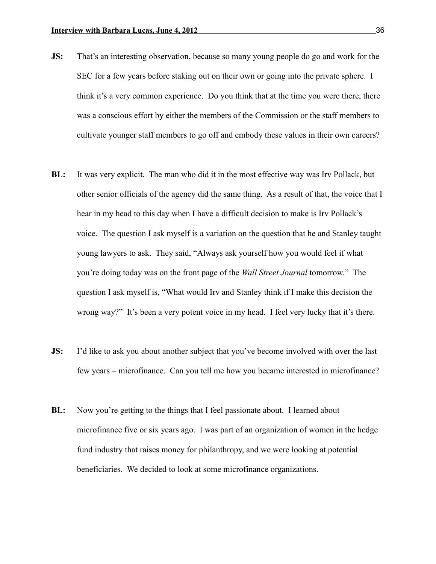- **JS:** That's an interesting observation, because so many young people do go and work for the SEC for a few years before staking out on their own or going into the private sphere. I think it's a very common experience. Do you think that at the time you were there, there was a conscious effort by either the members of the Commission or the staff members to cultivate younger staff members to go off and embody these values in their own careers?
- **BL:** It was very explicit. The man who did it in the most effective way was Irv Pollack, but other senior officials of the agency did the same thing. As a result of that, the voice that I hear in my head to this day when I have a difficult decision to make is Irv Pollack's voice. The question I ask myself is a variation on the question that he and Stanley taught young lawyers to ask. They said, "Always ask yourself how you would feel if what you're doing today was on the front page of the *Wall Street Journal* tomorrow." The question I ask myself is, "What would Irv and Stanley think if I make this decision the wrong way?" It's been a very potent voice in my head. I feel very lucky that it's there.
- **JS:** I'd like to ask you about another subject that you've become involved with over the last few years – microfinance. Can you tell me how you became interested in microfinance?
- **BL:** Now you're getting to the things that I feel passionate about. I learned about microfinance five or six years ago. I was part of an organization of women in the hedge fund industry that raises money for philanthropy, and we were looking at potential beneficiaries. We decided to look at some microfinance organizations.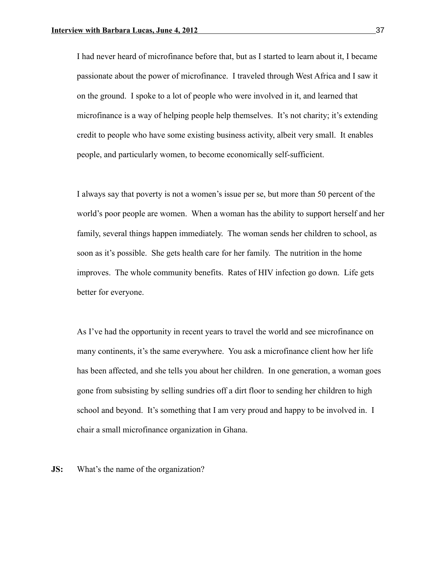I had never heard of microfinance before that, but as I started to learn about it, I became passionate about the power of microfinance. I traveled through West Africa and I saw it on the ground. I spoke to a lot of people who were involved in it, and learned that microfinance is a way of helping people help themselves. It's not charity; it's extending credit to people who have some existing business activity, albeit very small. It enables people, and particularly women, to become economically self-sufficient.

I always say that poverty is not a women's issue per se, but more than 50 percent of the world's poor people are women. When a woman has the ability to support herself and her family, several things happen immediately. The woman sends her children to school, as soon as it's possible. She gets health care for her family. The nutrition in the home improves. The whole community benefits. Rates of HIV infection go down. Life gets better for everyone.

As I've had the opportunity in recent years to travel the world and see microfinance on many continents, it's the same everywhere. You ask a microfinance client how her life has been affected, and she tells you about her children. In one generation, a woman goes gone from subsisting by selling sundries off a dirt floor to sending her children to high school and beyond. It's something that I am very proud and happy to be involved in. I chair a small microfinance organization in Ghana.

**JS:** What's the name of the organization?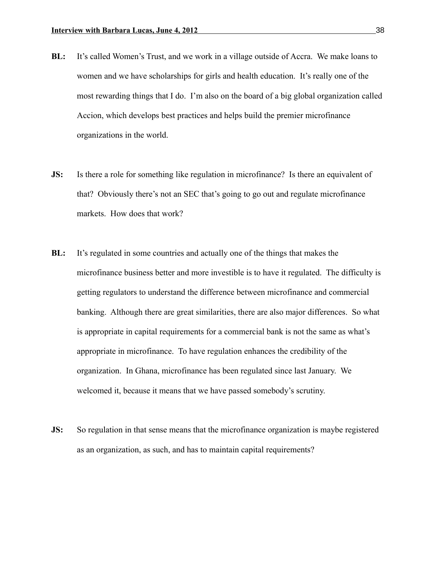- **BL:** It's called Women's Trust, and we work in a village outside of Accra. We make loans to women and we have scholarships for girls and health education. It's really one of the most rewarding things that I do. I'm also on the board of a big global organization called Accion, which develops best practices and helps build the premier microfinance organizations in the world.
- **JS:** Is there a role for something like regulation in microfinance? Is there an equivalent of that? Obviously there's not an SEC that's going to go out and regulate microfinance markets. How does that work?
- **BL:** It's regulated in some countries and actually one of the things that makes the microfinance business better and more investible is to have it regulated. The difficulty is getting regulators to understand the difference between microfinance and commercial banking. Although there are great similarities, there are also major differences. So what is appropriate in capital requirements for a commercial bank is not the same as what's appropriate in microfinance. To have regulation enhances the credibility of the organization. In Ghana, microfinance has been regulated since last January. We welcomed it, because it means that we have passed somebody's scrutiny.
- **JS:** So regulation in that sense means that the microfinance organization is maybe registered as an organization, as such, and has to maintain capital requirements?